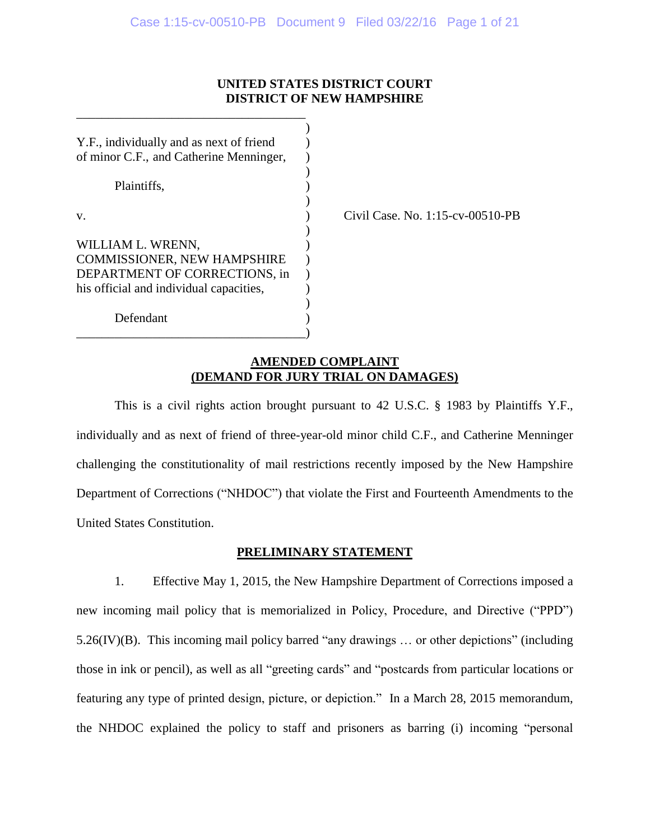## **UNITED STATES DISTRICT COURT DISTRICT OF NEW HAMPSHIRE**

| Y.F., individually and as next of friend |  |
|------------------------------------------|--|
| of minor C.F., and Catherine Menninger,  |  |
|                                          |  |
| Plaintiffs.                              |  |
|                                          |  |
| V.                                       |  |
|                                          |  |
| WILLIAM L. WRENN,                        |  |
| <b>COMMISSIONER, NEW HAMPSHIRE</b>       |  |
| DEPARTMENT OF CORRECTIONS, in            |  |
| his official and individual capacities,  |  |
|                                          |  |
| Defendant                                |  |
|                                          |  |

\_\_\_\_\_\_\_\_\_\_\_\_\_\_\_\_\_\_\_\_\_\_\_\_\_\_\_\_\_\_\_\_\_\_\_\_

Civil Case. No. 1:15-cv-00510-PB

## **AMENDED COMPLAINT (DEMAND FOR JURY TRIAL ON DAMAGES)**

This is a civil rights action brought pursuant to 42 U.S.C. § 1983 by Plaintiffs Y.F., individually and as next of friend of three-year-old minor child C.F., and Catherine Menninger challenging the constitutionality of mail restrictions recently imposed by the New Hampshire Department of Corrections ("NHDOC") that violate the First and Fourteenth Amendments to the United States Constitution.

# **PRELIMINARY STATEMENT**

1. Effective May 1, 2015, the New Hampshire Department of Corrections imposed a new incoming mail policy that is memorialized in Policy, Procedure, and Directive ("PPD") 5.26(IV)(B). This incoming mail policy barred "any drawings … or other depictions" (including those in ink or pencil), as well as all "greeting cards" and "postcards from particular locations or featuring any type of printed design, picture, or depiction." In a March 28, 2015 memorandum, the NHDOC explained the policy to staff and prisoners as barring (i) incoming "personal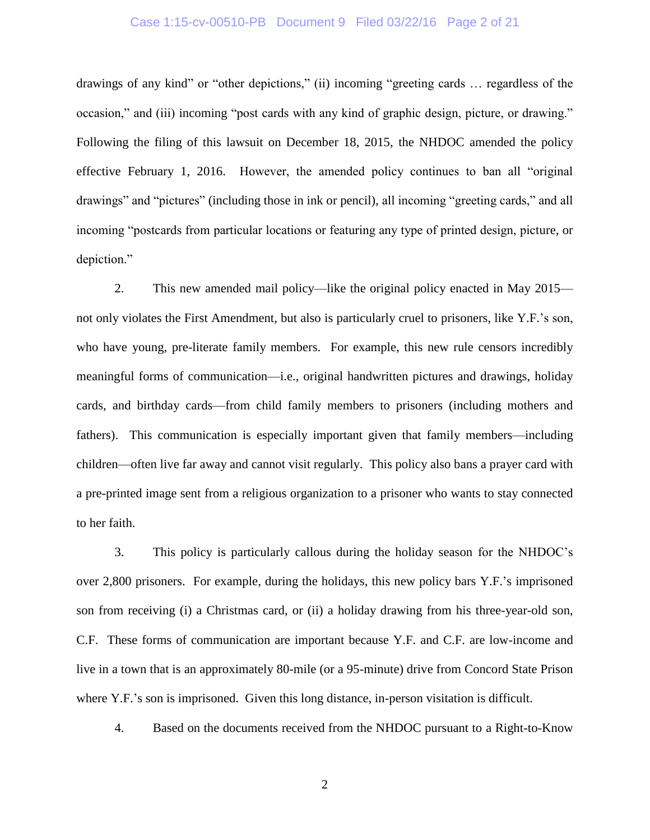#### Case 1:15-cv-00510-PB Document 9 Filed 03/22/16 Page 2 of 21

drawings of any kind" or "other depictions," (ii) incoming "greeting cards … regardless of the occasion," and (iii) incoming "post cards with any kind of graphic design, picture, or drawing." Following the filing of this lawsuit on December 18, 2015, the NHDOC amended the policy effective February 1, 2016. However, the amended policy continues to ban all "original drawings" and "pictures" (including those in ink or pencil), all incoming "greeting cards," and all incoming "postcards from particular locations or featuring any type of printed design, picture, or depiction."

2. This new amended mail policy—like the original policy enacted in May 2015 not only violates the First Amendment, but also is particularly cruel to prisoners, like Y.F.'s son, who have young, pre-literate family members. For example, this new rule censors incredibly meaningful forms of communication—i.e., original handwritten pictures and drawings, holiday cards, and birthday cards—from child family members to prisoners (including mothers and fathers). This communication is especially important given that family members—including children—often live far away and cannot visit regularly. This policy also bans a prayer card with a pre-printed image sent from a religious organization to a prisoner who wants to stay connected to her faith.

3. This policy is particularly callous during the holiday season for the NHDOC's over 2,800 prisoners. For example, during the holidays, this new policy bars Y.F.'s imprisoned son from receiving (i) a Christmas card, or (ii) a holiday drawing from his three-year-old son, C.F. These forms of communication are important because Y.F. and C.F. are low-income and live in a town that is an approximately 80-mile (or a 95-minute) drive from Concord State Prison where Y.F.'s son is imprisoned. Given this long distance, in-person visitation is difficult.

4. Based on the documents received from the NHDOC pursuant to a Right-to-Know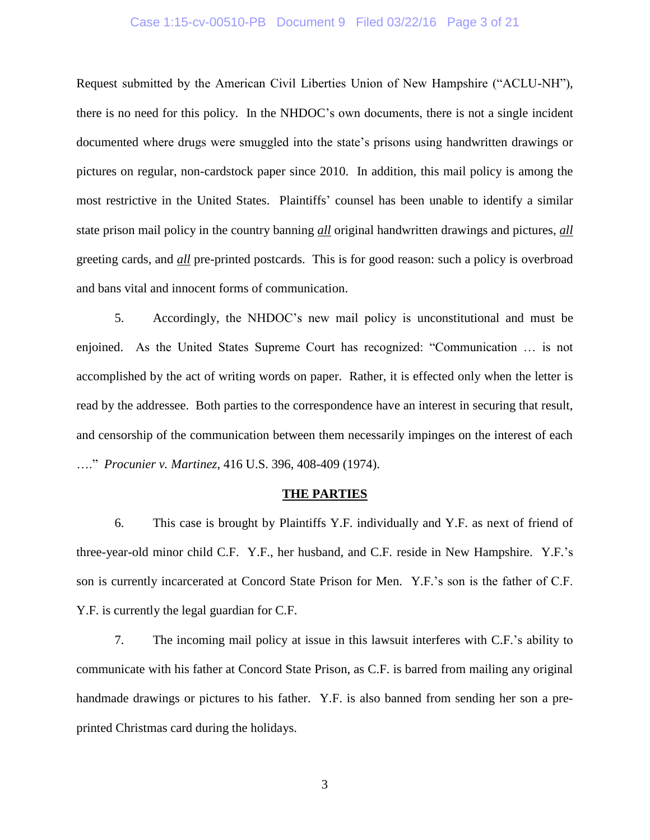#### Case 1:15-cv-00510-PB Document 9 Filed 03/22/16 Page 3 of 21

Request submitted by the American Civil Liberties Union of New Hampshire ("ACLU-NH"), there is no need for this policy. In the NHDOC's own documents, there is not a single incident documented where drugs were smuggled into the state's prisons using handwritten drawings or pictures on regular, non-cardstock paper since 2010. In addition, this mail policy is among the most restrictive in the United States. Plaintiffs' counsel has been unable to identify a similar state prison mail policy in the country banning *all* original handwritten drawings and pictures, *all* greeting cards, and *all* pre-printed postcards. This is for good reason: such a policy is overbroad and bans vital and innocent forms of communication.

5. Accordingly, the NHDOC's new mail policy is unconstitutional and must be enjoined. As the United States Supreme Court has recognized: "Communication … is not accomplished by the act of writing words on paper. Rather, it is effected only when the letter is read by the addressee. Both parties to the correspondence have an interest in securing that result, and censorship of the communication between them necessarily impinges on the interest of each …." *Procunier v. Martinez*, 416 U.S. 396, 408-409 (1974).

#### **THE PARTIES**

6. This case is brought by Plaintiffs Y.F. individually and Y.F. as next of friend of three-year-old minor child C.F. Y.F., her husband, and C.F. reside in New Hampshire. Y.F.'s son is currently incarcerated at Concord State Prison for Men. Y.F.'s son is the father of C.F. Y.F. is currently the legal guardian for C.F.

7. The incoming mail policy at issue in this lawsuit interferes with C.F.'s ability to communicate with his father at Concord State Prison, as C.F. is barred from mailing any original handmade drawings or pictures to his father. Y.F. is also banned from sending her son a preprinted Christmas card during the holidays.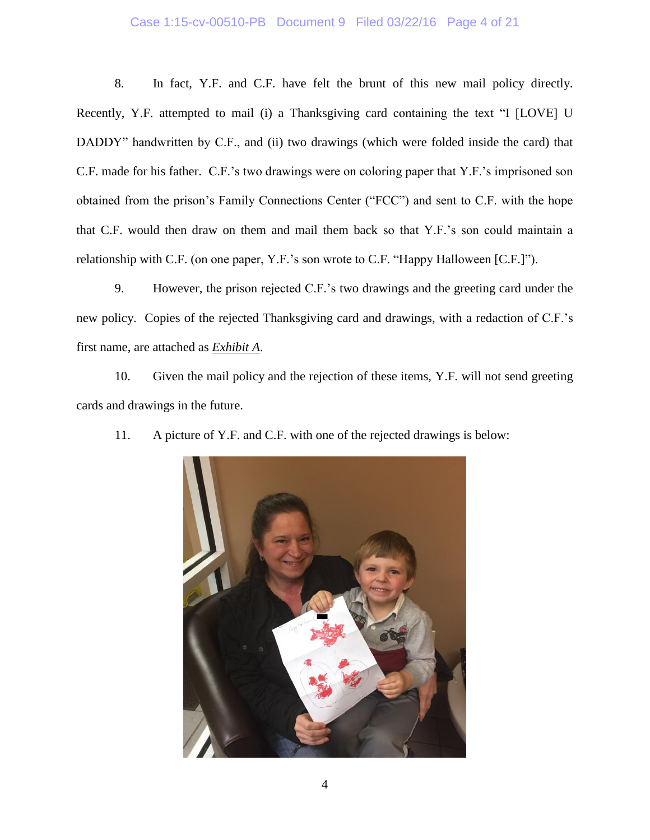### Case 1:15-cv-00510-PB Document 9 Filed 03/22/16 Page 4 of 21

8. In fact, Y.F. and C.F. have felt the brunt of this new mail policy directly. Recently, Y.F. attempted to mail (i) a Thanksgiving card containing the text "I [LOVE] U DADDY" handwritten by C.F., and (ii) two drawings (which were folded inside the card) that C.F. made for his father. C.F.'s two drawings were on coloring paper that Y.F.'s imprisoned son obtained from the prison's Family Connections Center ("FCC") and sent to C.F. with the hope that C.F. would then draw on them and mail them back so that Y.F.'s son could maintain a relationship with C.F. (on one paper, Y.F.'s son wrote to C.F. "Happy Halloween [C.F.]").

9. However, the prison rejected C.F.'s two drawings and the greeting card under the new policy. Copies of the rejected Thanksgiving card and drawings, with a redaction of C.F.'s first name, are attached as *Exhibit A*.

10. Given the mail policy and the rejection of these items, Y.F. will not send greeting cards and drawings in the future.



11. A picture of Y.F. and C.F. with one of the rejected drawings is below: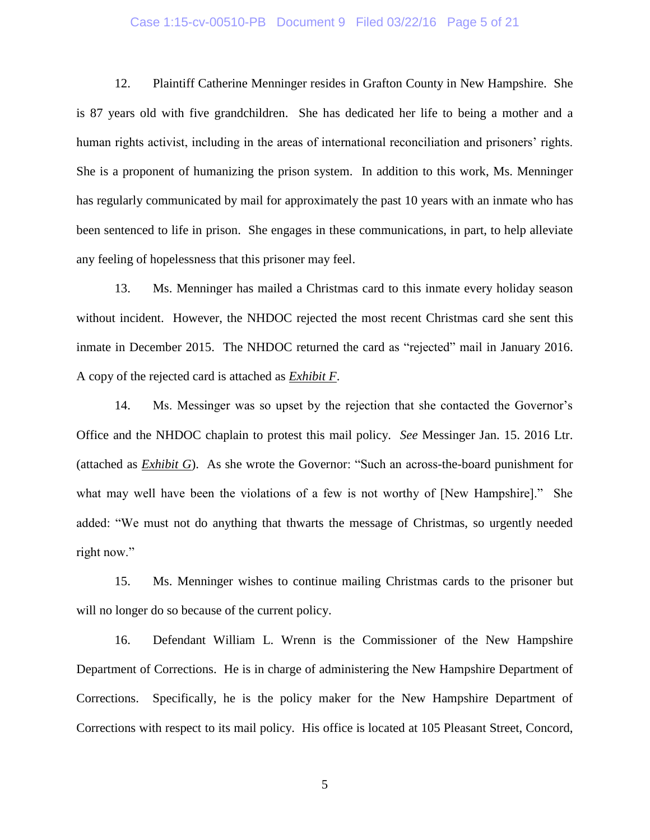#### Case 1:15-cv-00510-PB Document 9 Filed 03/22/16 Page 5 of 21

12. Plaintiff Catherine Menninger resides in Grafton County in New Hampshire. She is 87 years old with five grandchildren. She has dedicated her life to being a mother and a human rights activist, including in the areas of international reconciliation and prisoners' rights. She is a proponent of humanizing the prison system. In addition to this work, Ms. Menninger has regularly communicated by mail for approximately the past 10 years with an inmate who has been sentenced to life in prison. She engages in these communications, in part, to help alleviate any feeling of hopelessness that this prisoner may feel.

13. Ms. Menninger has mailed a Christmas card to this inmate every holiday season without incident. However, the NHDOC rejected the most recent Christmas card she sent this inmate in December 2015. The NHDOC returned the card as "rejected" mail in January 2016. A copy of the rejected card is attached as *Exhibit F*.

14. Ms. Messinger was so upset by the rejection that she contacted the Governor's Office and the NHDOC chaplain to protest this mail policy. *See* Messinger Jan. 15. 2016 Ltr. (attached as *Exhibit G*). As she wrote the Governor: "Such an across-the-board punishment for what may well have been the violations of a few is not worthy of [New Hampshire]." She added: "We must not do anything that thwarts the message of Christmas, so urgently needed right now."

15. Ms. Menninger wishes to continue mailing Christmas cards to the prisoner but will no longer do so because of the current policy.

16. Defendant William L. Wrenn is the Commissioner of the New Hampshire Department of Corrections. He is in charge of administering the New Hampshire Department of Corrections. Specifically, he is the policy maker for the New Hampshire Department of Corrections with respect to its mail policy. His office is located at 105 Pleasant Street, Concord,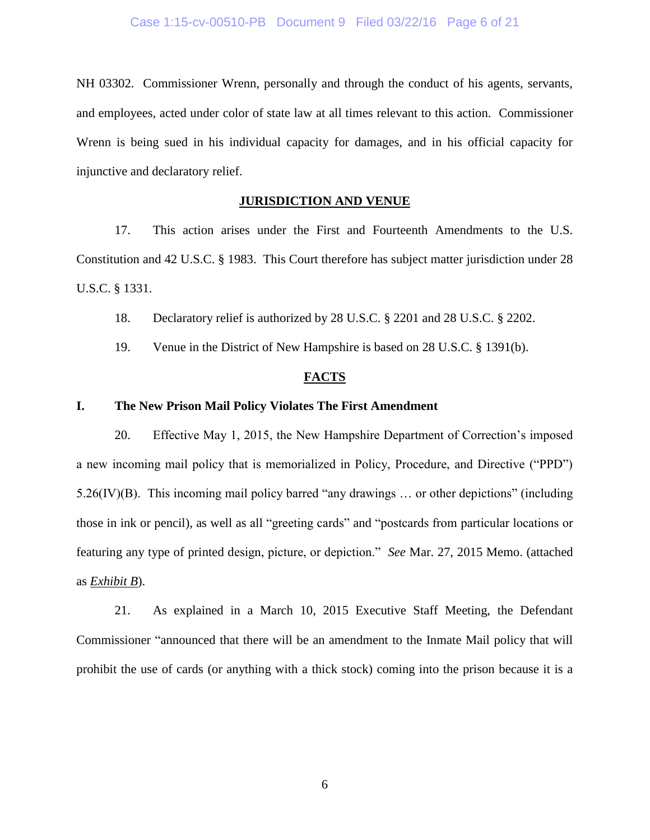NH 03302. Commissioner Wrenn, personally and through the conduct of his agents, servants, and employees, acted under color of state law at all times relevant to this action. Commissioner Wrenn is being sued in his individual capacity for damages, and in his official capacity for injunctive and declaratory relief.

### **JURISDICTION AND VENUE**

17. This action arises under the First and Fourteenth Amendments to the U.S. Constitution and 42 U.S.C. § 1983. This Court therefore has subject matter jurisdiction under 28 U.S.C. § 1331.

18. Declaratory relief is authorized by 28 U.S.C. § 2201 and 28 U.S.C. § 2202.

19. Venue in the District of New Hampshire is based on 28 U.S.C. § 1391(b).

#### **FACTS**

#### **I. The New Prison Mail Policy Violates The First Amendment**

20. Effective May 1, 2015, the New Hampshire Department of Correction's imposed a new incoming mail policy that is memorialized in Policy, Procedure, and Directive ("PPD") 5.26(IV)(B). This incoming mail policy barred "any drawings … or other depictions" (including those in ink or pencil), as well as all "greeting cards" and "postcards from particular locations or featuring any type of printed design, picture, or depiction." *See* Mar. 27, 2015 Memo. (attached as *Exhibit B*).

21. As explained in a March 10, 2015 Executive Staff Meeting, the Defendant Commissioner "announced that there will be an amendment to the Inmate Mail policy that will prohibit the use of cards (or anything with a thick stock) coming into the prison because it is a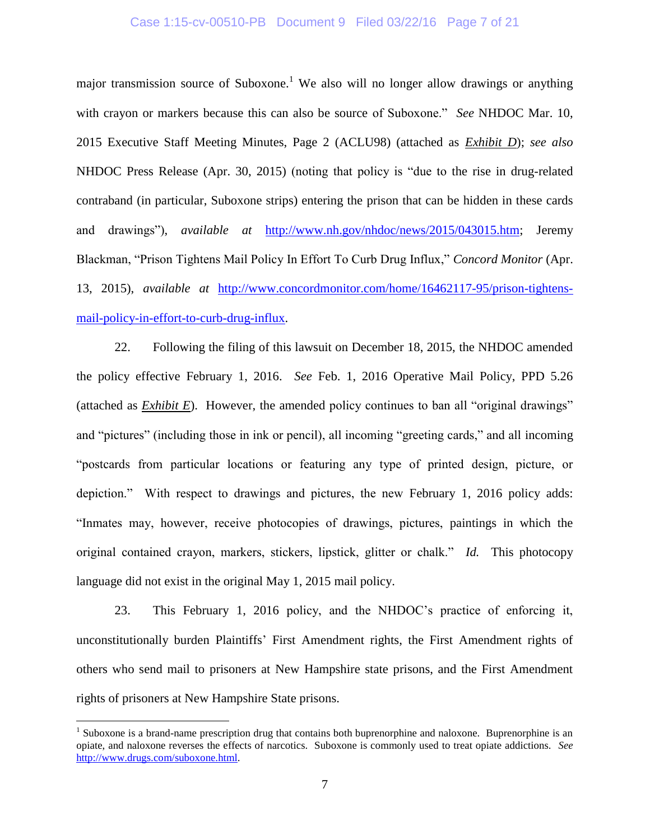#### Case 1:15-cv-00510-PB Document 9 Filed 03/22/16 Page 7 of 21

major transmission source of Suboxone.<sup>1</sup> We also will no longer allow drawings or anything with crayon or markers because this can also be source of Suboxone." *See* NHDOC Mar. 10, 2015 Executive Staff Meeting Minutes, Page 2 (ACLU98) (attached as *Exhibit D*); *see also* NHDOC Press Release (Apr. 30, 2015) (noting that policy is "due to the rise in drug-related contraband (in particular, Suboxone strips) entering the prison that can be hidden in these cards and drawings"), *available at* [http://www.nh.gov/nhdoc/news/2015/043015.htm;](http://www.nh.gov/nhdoc/news/2015/043015.htm) Jeremy Blackman, "Prison Tightens Mail Policy In Effort To Curb Drug Influx," *Concord Monitor* (Apr. 13, 2015), *available at* [http://www.concordmonitor.com/home/16462117-95/prison-tightens](http://www.concordmonitor.com/home/16462117-95/prison-tightens-mail-policy-in-effort-to-curb-drug-influx)[mail-policy-in-effort-to-curb-drug-influx.](http://www.concordmonitor.com/home/16462117-95/prison-tightens-mail-policy-in-effort-to-curb-drug-influx)

22. Following the filing of this lawsuit on December 18, 2015, the NHDOC amended the policy effective February 1, 2016. *See* Feb. 1, 2016 Operative Mail Policy, PPD 5.26 (attached as *Exhibit E*). However, the amended policy continues to ban all "original drawings" and "pictures" (including those in ink or pencil), all incoming "greeting cards," and all incoming "postcards from particular locations or featuring any type of printed design, picture, or depiction." With respect to drawings and pictures, the new February 1, 2016 policy adds: "Inmates may, however, receive photocopies of drawings, pictures, paintings in which the original contained crayon, markers, stickers, lipstick, glitter or chalk." *Id.* This photocopy language did not exist in the original May 1, 2015 mail policy.

23. This February 1, 2016 policy, and the NHDOC's practice of enforcing it, unconstitutionally burden Plaintiffs' First Amendment rights, the First Amendment rights of others who send mail to prisoners at New Hampshire state prisons, and the First Amendment rights of prisoners at New Hampshire State prisons.

 $\overline{a}$ 

 $<sup>1</sup>$  Suboxone is a brand-name prescription drug that contains both buprenorphine and naloxone. Buprenorphine is an</sup> opiate, and naloxone reverses the effects of narcotics. Suboxone is commonly used to treat opiate addictions. *See* [http://www.drugs.com/suboxone.html.](http://www.drugs.com/suboxone.html)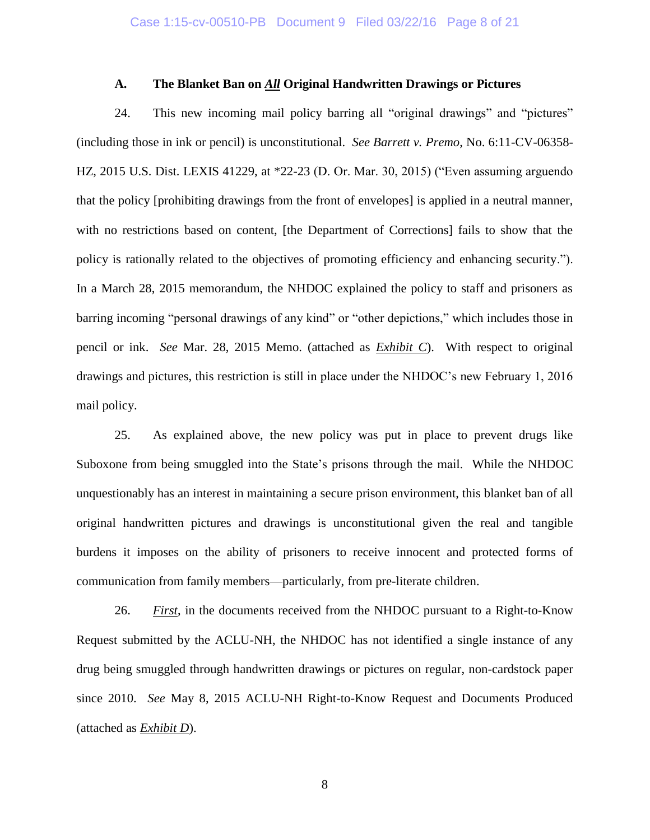#### **A. The Blanket Ban on** *All* **Original Handwritten Drawings or Pictures**

24. This new incoming mail policy barring all "original drawings" and "pictures" (including those in ink or pencil) is unconstitutional. *See Barrett v. Premo*, No. 6:11-CV-06358- HZ, 2015 U.S. Dist. LEXIS 41229, at \*22-23 (D. Or. Mar. 30, 2015) ("Even assuming arguendo that the policy [prohibiting drawings from the front of envelopes] is applied in a neutral manner, with no restrictions based on content, [the Department of Corrections] fails to show that the policy is rationally related to the objectives of promoting efficiency and enhancing security."). In a March 28, 2015 memorandum, the NHDOC explained the policy to staff and prisoners as barring incoming "personal drawings of any kind" or "other depictions," which includes those in pencil or ink. *See* Mar. 28, 2015 Memo. (attached as *Exhibit C*). With respect to original drawings and pictures, this restriction is still in place under the NHDOC's new February 1, 2016 mail policy.

25. As explained above, the new policy was put in place to prevent drugs like Suboxone from being smuggled into the State's prisons through the mail. While the NHDOC unquestionably has an interest in maintaining a secure prison environment, this blanket ban of all original handwritten pictures and drawings is unconstitutional given the real and tangible burdens it imposes on the ability of prisoners to receive innocent and protected forms of communication from family members—particularly, from pre-literate children.

26. *First*, in the documents received from the NHDOC pursuant to a Right-to-Know Request submitted by the ACLU-NH, the NHDOC has not identified a single instance of any drug being smuggled through handwritten drawings or pictures on regular, non-cardstock paper since 2010. *See* May 8, 2015 ACLU-NH Right-to-Know Request and Documents Produced (attached as *Exhibit D*).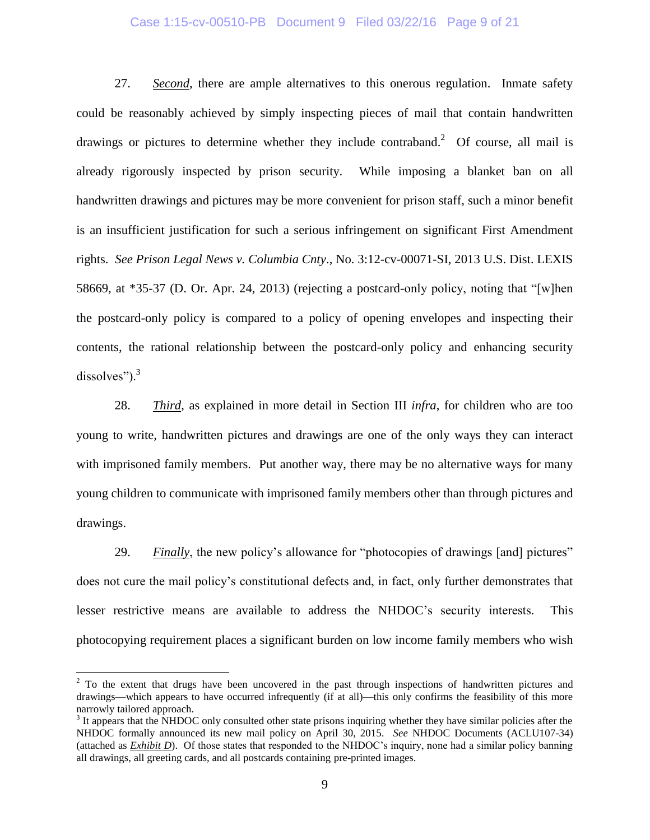#### Case 1:15-cv-00510-PB Document 9 Filed 03/22/16 Page 9 of 21

27. *Second*, there are ample alternatives to this onerous regulation. Inmate safety could be reasonably achieved by simply inspecting pieces of mail that contain handwritten drawings or pictures to determine whether they include contraband.<sup>2</sup> Of course, all mail is already rigorously inspected by prison security. While imposing a blanket ban on all handwritten drawings and pictures may be more convenient for prison staff, such a minor benefit is an insufficient justification for such a serious infringement on significant First Amendment rights. *See Prison Legal News v. Columbia Cnty*., No. 3:12-cv-00071-SI, 2013 U.S. Dist. LEXIS 58669, at \*35-37 (D. Or. Apr. 24, 2013) (rejecting a postcard-only policy, noting that "[w]hen the postcard-only policy is compared to a policy of opening envelopes and inspecting their contents, the rational relationship between the postcard-only policy and enhancing security dissolves"). $3$ 

28. *Third*, as explained in more detail in Section III *infra*, for children who are too young to write, handwritten pictures and drawings are one of the only ways they can interact with imprisoned family members. Put another way, there may be no alternative ways for many young children to communicate with imprisoned family members other than through pictures and drawings.

29. *Finally*, the new policy's allowance for "photocopies of drawings [and] pictures" does not cure the mail policy's constitutional defects and, in fact, only further demonstrates that lesser restrictive means are available to address the NHDOC's security interests. This photocopying requirement places a significant burden on low income family members who wish

 $\overline{a}$ 

<sup>&</sup>lt;sup>2</sup> To the extent that drugs have been uncovered in the past through inspections of handwritten pictures and drawings—which appears to have occurred infrequently (if at all)—this only confirms the feasibility of this more narrowly tailored approach.

 $3$  It appears that the NHDOC only consulted other state prisons inquiring whether they have similar policies after the NHDOC formally announced its new mail policy on April 30, 2015. *See* NHDOC Documents (ACLU107-34) (attached as *Exhibit D*). Of those states that responded to the NHDOC's inquiry, none had a similar policy banning all drawings, all greeting cards, and all postcards containing pre-printed images.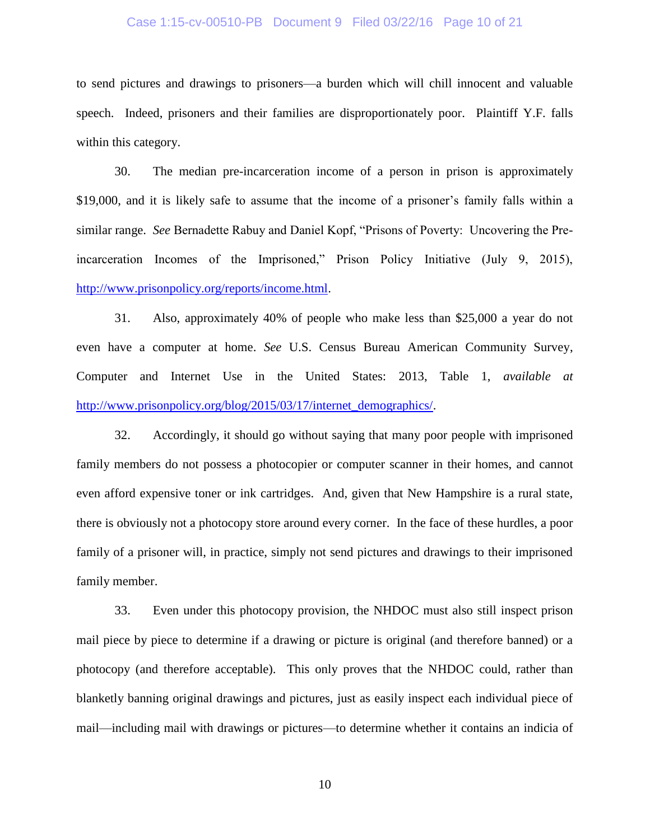#### Case 1:15-cv-00510-PB Document 9 Filed 03/22/16 Page 10 of 21

to send pictures and drawings to prisoners—a burden which will chill innocent and valuable speech. Indeed, prisoners and their families are disproportionately poor. Plaintiff Y.F. falls within this category.

30. The median pre-incarceration income of a person in prison is approximately \$19,000, and it is likely safe to assume that the income of a prisoner's family falls within a similar range. *See* Bernadette Rabuy and Daniel Kopf, "Prisons of Poverty: Uncovering the Preincarceration Incomes of the Imprisoned," Prison Policy Initiative (July 9, 2015), [http://www.prisonpolicy.org/reports/income.html.](http://www.prisonpolicy.org/reports/income.html)

31. Also, approximately 40% of people who make less than \$25,000 a year do not even have a computer at home. *See* U.S. Census Bureau American Community Survey, Computer and Internet Use in the United States: 2013, Table 1, *available at* [http://www.prisonpolicy.org/blog/2015/03/17/internet\\_demographics/.](http://www.prisonpolicy.org/blog/2015/03/17/internet_demographics/)

32. Accordingly, it should go without saying that many poor people with imprisoned family members do not possess a photocopier or computer scanner in their homes, and cannot even afford expensive toner or ink cartridges. And, given that New Hampshire is a rural state, there is obviously not a photocopy store around every corner. In the face of these hurdles, a poor family of a prisoner will, in practice, simply not send pictures and drawings to their imprisoned family member.

33. Even under this photocopy provision, the NHDOC must also still inspect prison mail piece by piece to determine if a drawing or picture is original (and therefore banned) or a photocopy (and therefore acceptable). This only proves that the NHDOC could, rather than blanketly banning original drawings and pictures, just as easily inspect each individual piece of mail—including mail with drawings or pictures—to determine whether it contains an indicia of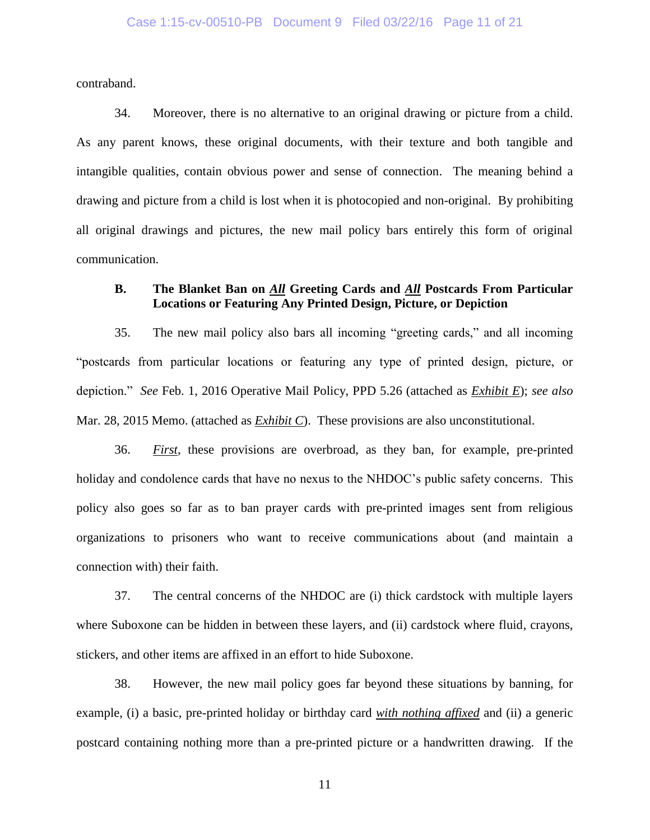contraband.

34. Moreover, there is no alternative to an original drawing or picture from a child. As any parent knows, these original documents, with their texture and both tangible and intangible qualities, contain obvious power and sense of connection. The meaning behind a drawing and picture from a child is lost when it is photocopied and non-original. By prohibiting all original drawings and pictures, the new mail policy bars entirely this form of original communication.

## **B. The Blanket Ban on** *All* **Greeting Cards and** *All* **Postcards From Particular Locations or Featuring Any Printed Design, Picture, or Depiction**

35. The new mail policy also bars all incoming "greeting cards," and all incoming "postcards from particular locations or featuring any type of printed design, picture, or depiction." *See* Feb. 1, 2016 Operative Mail Policy, PPD 5.26 (attached as *Exhibit E*); *see also* Mar. 28, 2015 Memo. (attached as *Exhibit C*). These provisions are also unconstitutional.

36. *First*, these provisions are overbroad, as they ban, for example, pre-printed holiday and condolence cards that have no nexus to the NHDOC's public safety concerns. This policy also goes so far as to ban prayer cards with pre-printed images sent from religious organizations to prisoners who want to receive communications about (and maintain a connection with) their faith.

37. The central concerns of the NHDOC are (i) thick cardstock with multiple layers where Suboxone can be hidden in between these layers, and (ii) cardstock where fluid, crayons, stickers, and other items are affixed in an effort to hide Suboxone.

38. However, the new mail policy goes far beyond these situations by banning, for example, (i) a basic, pre-printed holiday or birthday card *with nothing affixed* and (ii) a generic postcard containing nothing more than a pre-printed picture or a handwritten drawing. If the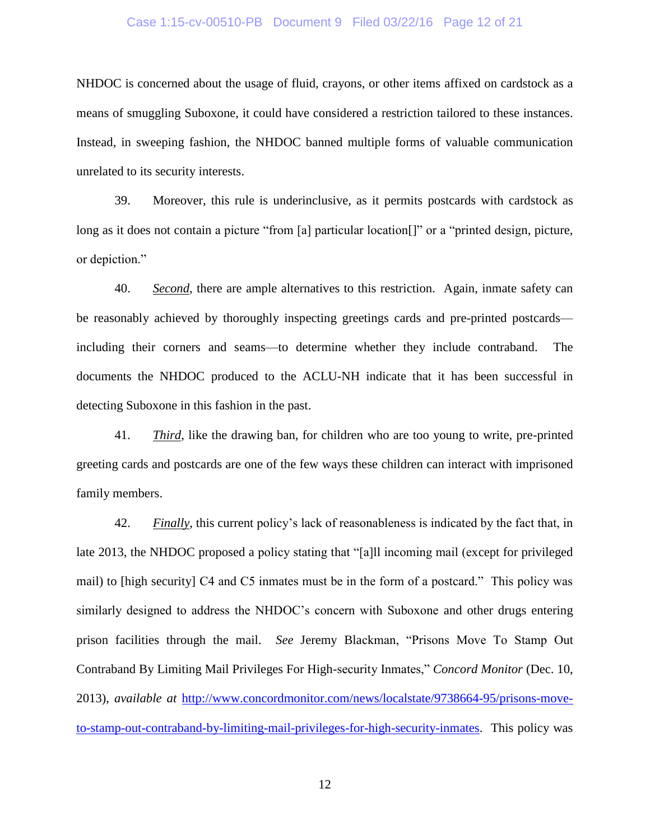#### Case 1:15-cv-00510-PB Document 9 Filed 03/22/16 Page 12 of 21

NHDOC is concerned about the usage of fluid, crayons, or other items affixed on cardstock as a means of smuggling Suboxone, it could have considered a restriction tailored to these instances. Instead, in sweeping fashion, the NHDOC banned multiple forms of valuable communication unrelated to its security interests.

39. Moreover, this rule is underinclusive, as it permits postcards with cardstock as long as it does not contain a picture "from [a] particular location<sup>[]"</sup> or a "printed design, picture, or depiction."

40. *Second*, there are ample alternatives to this restriction. Again, inmate safety can be reasonably achieved by thoroughly inspecting greetings cards and pre-printed postcards including their corners and seams—to determine whether they include contraband. The documents the NHDOC produced to the ACLU-NH indicate that it has been successful in detecting Suboxone in this fashion in the past.

41. *Third*, like the drawing ban, for children who are too young to write, pre-printed greeting cards and postcards are one of the few ways these children can interact with imprisoned family members.

42. *Finally*, this current policy's lack of reasonableness is indicated by the fact that, in late 2013, the NHDOC proposed a policy stating that "[a]ll incoming mail (except for privileged mail) to [high security] C4 and C5 inmates must be in the form of a postcard." This policy was similarly designed to address the NHDOC's concern with Suboxone and other drugs entering prison facilities through the mail. *See* Jeremy Blackman, "Prisons Move To Stamp Out Contraband By Limiting Mail Privileges For High-security Inmates," *Concord Monitor* (Dec. 10, 2013), *available at* [http://www.concordmonitor.com/news/localstate/9738664-95/prisons-move](http://www.concordmonitor.com/news/localstate/9738664-95/prisons-move-to-stamp-out-contraband-by-limiting-mail-privileges-for-high-security-inmates)[to-stamp-out-contraband-by-limiting-mail-privileges-for-high-security-inmates.](http://www.concordmonitor.com/news/localstate/9738664-95/prisons-move-to-stamp-out-contraband-by-limiting-mail-privileges-for-high-security-inmates) This policy was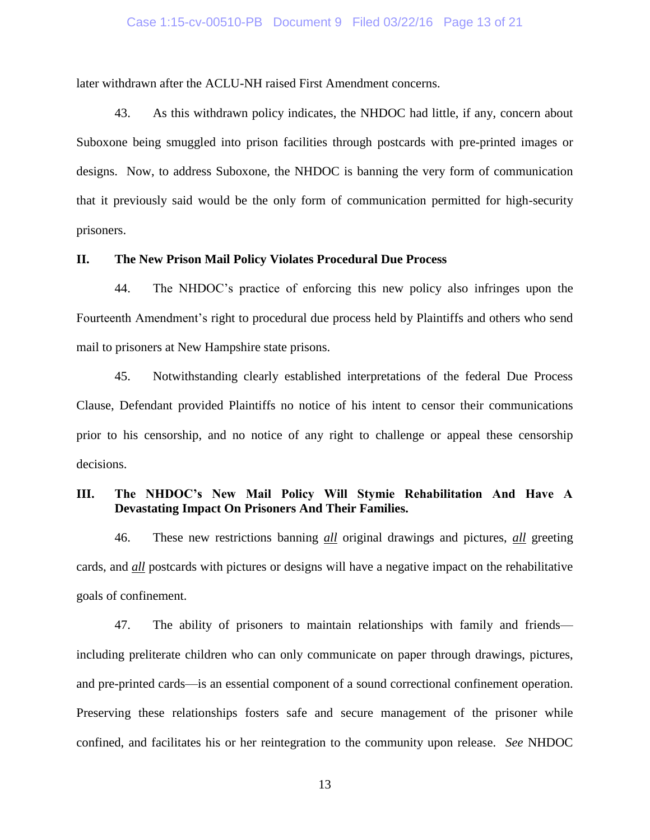#### Case 1:15-cv-00510-PB Document 9 Filed 03/22/16 Page 13 of 21

later withdrawn after the ACLU-NH raised First Amendment concerns.

43. As this withdrawn policy indicates, the NHDOC had little, if any, concern about Suboxone being smuggled into prison facilities through postcards with pre-printed images or designs. Now, to address Suboxone, the NHDOC is banning the very form of communication that it previously said would be the only form of communication permitted for high-security prisoners.

#### **II. The New Prison Mail Policy Violates Procedural Due Process**

44. The NHDOC's practice of enforcing this new policy also infringes upon the Fourteenth Amendment's right to procedural due process held by Plaintiffs and others who send mail to prisoners at New Hampshire state prisons.

45. Notwithstanding clearly established interpretations of the federal Due Process Clause, Defendant provided Plaintiffs no notice of his intent to censor their communications prior to his censorship, and no notice of any right to challenge or appeal these censorship decisions.

# **III. The NHDOC's New Mail Policy Will Stymie Rehabilitation And Have A Devastating Impact On Prisoners And Their Families.**

46. These new restrictions banning *all* original drawings and pictures, *all* greeting cards, and *all* postcards with pictures or designs will have a negative impact on the rehabilitative goals of confinement.

47. The ability of prisoners to maintain relationships with family and friends including preliterate children who can only communicate on paper through drawings, pictures, and pre-printed cards—is an essential component of a sound correctional confinement operation. Preserving these relationships fosters safe and secure management of the prisoner while confined, and facilitates his or her reintegration to the community upon release. *See* NHDOC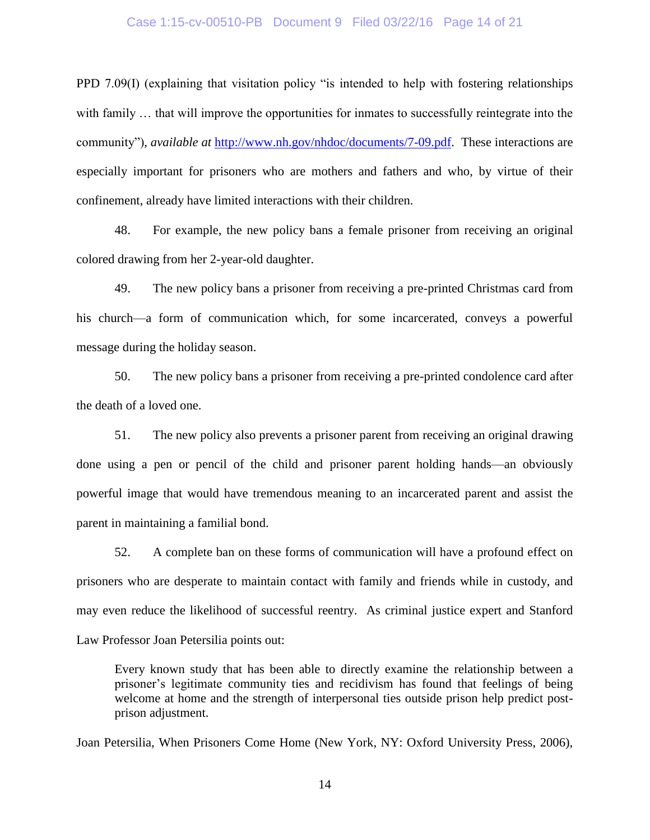#### Case 1:15-cv-00510-PB Document 9 Filed 03/22/16 Page 14 of 21

PPD 7.09(I) (explaining that visitation policy "is intended to help with fostering relationships with family ... that will improve the opportunities for inmates to successfully reintegrate into the community"), *available at* [http://www.nh.gov/nhdoc/documents/7-09.pdf.](www.nh.gov/nhdoc/documents/7-09.pdf) These interactions are especially important for prisoners who are mothers and fathers and who, by virtue of their confinement, already have limited interactions with their children.

48. For example, the new policy bans a female prisoner from receiving an original colored drawing from her 2-year-old daughter.

49. The new policy bans a prisoner from receiving a pre-printed Christmas card from his church—a form of communication which, for some incarcerated, conveys a powerful message during the holiday season.

50. The new policy bans a prisoner from receiving a pre-printed condolence card after the death of a loved one.

51. The new policy also prevents a prisoner parent from receiving an original drawing done using a pen or pencil of the child and prisoner parent holding hands—an obviously powerful image that would have tremendous meaning to an incarcerated parent and assist the parent in maintaining a familial bond.

52. A complete ban on these forms of communication will have a profound effect on prisoners who are desperate to maintain contact with family and friends while in custody, and may even reduce the likelihood of successful reentry. As criminal justice expert and Stanford Law Professor Joan Petersilia points out:

Every known study that has been able to directly examine the relationship between a prisoner's legitimate community ties and recidivism has found that feelings of being welcome at home and the strength of interpersonal ties outside prison help predict postprison adjustment.

Joan Petersilia, When Prisoners Come Home (New York, NY: Oxford University Press, 2006),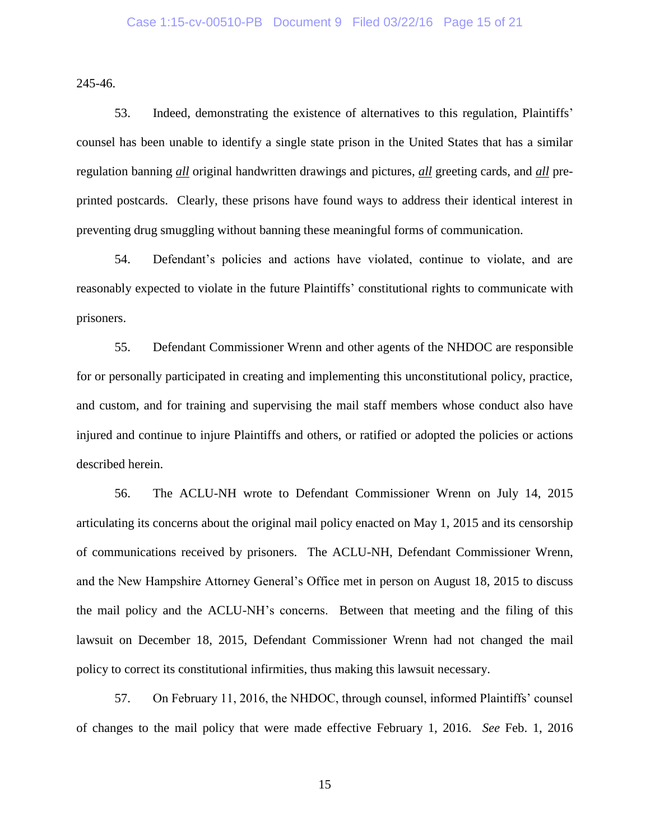245-46.

53. Indeed, demonstrating the existence of alternatives to this regulation, Plaintiffs' counsel has been unable to identify a single state prison in the United States that has a similar regulation banning *all* original handwritten drawings and pictures, *all* greeting cards, and *all* preprinted postcards. Clearly, these prisons have found ways to address their identical interest in preventing drug smuggling without banning these meaningful forms of communication.

54. Defendant's policies and actions have violated, continue to violate, and are reasonably expected to violate in the future Plaintiffs' constitutional rights to communicate with prisoners.

55. Defendant Commissioner Wrenn and other agents of the NHDOC are responsible for or personally participated in creating and implementing this unconstitutional policy, practice, and custom, and for training and supervising the mail staff members whose conduct also have injured and continue to injure Plaintiffs and others, or ratified or adopted the policies or actions described herein.

56. The ACLU-NH wrote to Defendant Commissioner Wrenn on July 14, 2015 articulating its concerns about the original mail policy enacted on May 1, 2015 and its censorship of communications received by prisoners. The ACLU-NH, Defendant Commissioner Wrenn, and the New Hampshire Attorney General's Office met in person on August 18, 2015 to discuss the mail policy and the ACLU-NH's concerns. Between that meeting and the filing of this lawsuit on December 18, 2015, Defendant Commissioner Wrenn had not changed the mail policy to correct its constitutional infirmities, thus making this lawsuit necessary.

57. On February 11, 2016, the NHDOC, through counsel, informed Plaintiffs' counsel of changes to the mail policy that were made effective February 1, 2016. *See* Feb. 1, 2016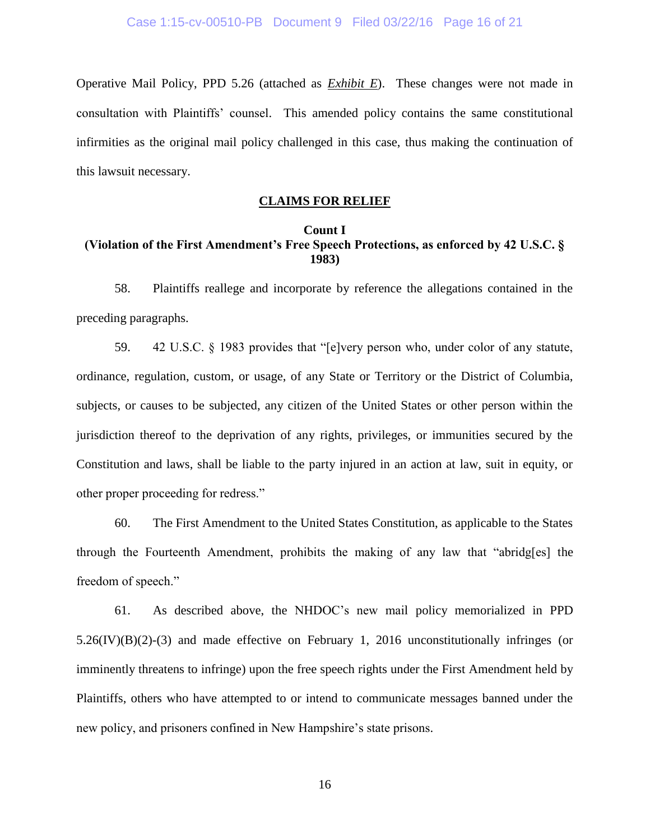Operative Mail Policy, PPD 5.26 (attached as *Exhibit E*). These changes were not made in consultation with Plaintiffs' counsel. This amended policy contains the same constitutional infirmities as the original mail policy challenged in this case, thus making the continuation of this lawsuit necessary.

### **CLAIMS FOR RELIEF**

### **Count I (Violation of the First Amendment's Free Speech Protections, as enforced by 42 U.S.C. § 1983)**

58. Plaintiffs reallege and incorporate by reference the allegations contained in the preceding paragraphs.

59. 42 U.S.C. § 1983 provides that "[e]very person who, under color of any statute, ordinance, regulation, custom, or usage, of any State or Territory or the District of Columbia, subjects, or causes to be subjected, any citizen of the United States or other person within the jurisdiction thereof to the deprivation of any rights, privileges, or immunities secured by the Constitution and laws, shall be liable to the party injured in an action at law, suit in equity, or other proper proceeding for redress."

60. The First Amendment to the United States Constitution, as applicable to the States through the Fourteenth Amendment, prohibits the making of any law that "abridg[es] the freedom of speech."

61. As described above, the NHDOC's new mail policy memorialized in PPD  $5.26$ (IV)(B)(2)-(3) and made effective on February 1, 2016 unconstitutionally infringes (or imminently threatens to infringe) upon the free speech rights under the First Amendment held by Plaintiffs, others who have attempted to or intend to communicate messages banned under the new policy, and prisoners confined in New Hampshire's state prisons.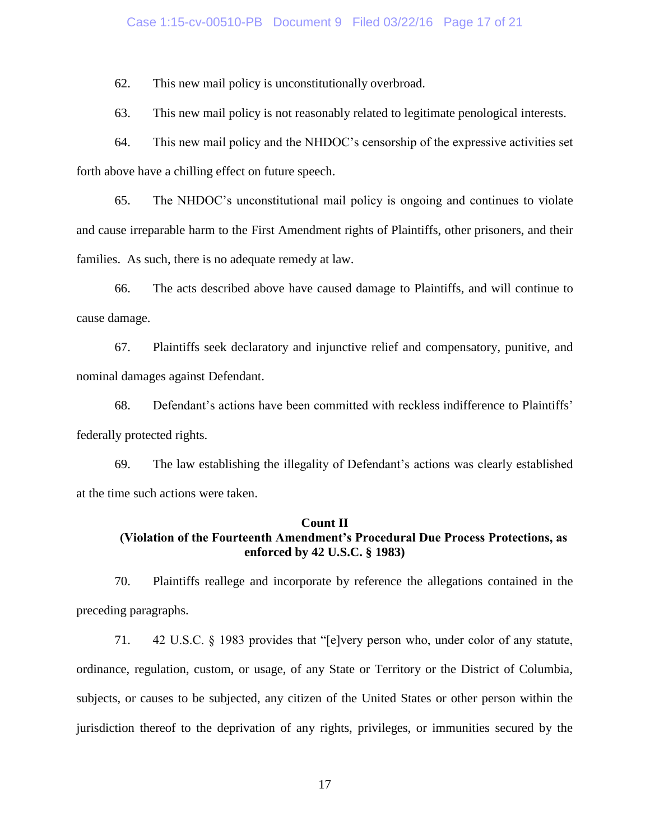#### Case 1:15-cv-00510-PB Document 9 Filed 03/22/16 Page 17 of 21

62. This new mail policy is unconstitutionally overbroad.

63. This new mail policy is not reasonably related to legitimate penological interests.

64. This new mail policy and the NHDOC's censorship of the expressive activities set forth above have a chilling effect on future speech.

65. The NHDOC's unconstitutional mail policy is ongoing and continues to violate and cause irreparable harm to the First Amendment rights of Plaintiffs, other prisoners, and their families. As such, there is no adequate remedy at law.

66. The acts described above have caused damage to Plaintiffs, and will continue to cause damage.

67. Plaintiffs seek declaratory and injunctive relief and compensatory, punitive, and nominal damages against Defendant.

68. Defendant's actions have been committed with reckless indifference to Plaintiffs' federally protected rights.

69. The law establishing the illegality of Defendant's actions was clearly established at the time such actions were taken.

#### **Count II**

# **(Violation of the Fourteenth Amendment's Procedural Due Process Protections, as enforced by 42 U.S.C. § 1983)**

70. Plaintiffs reallege and incorporate by reference the allegations contained in the preceding paragraphs.

71. 42 U.S.C. § 1983 provides that "[e]very person who, under color of any statute, ordinance, regulation, custom, or usage, of any State or Territory or the District of Columbia, subjects, or causes to be subjected, any citizen of the United States or other person within the jurisdiction thereof to the deprivation of any rights, privileges, or immunities secured by the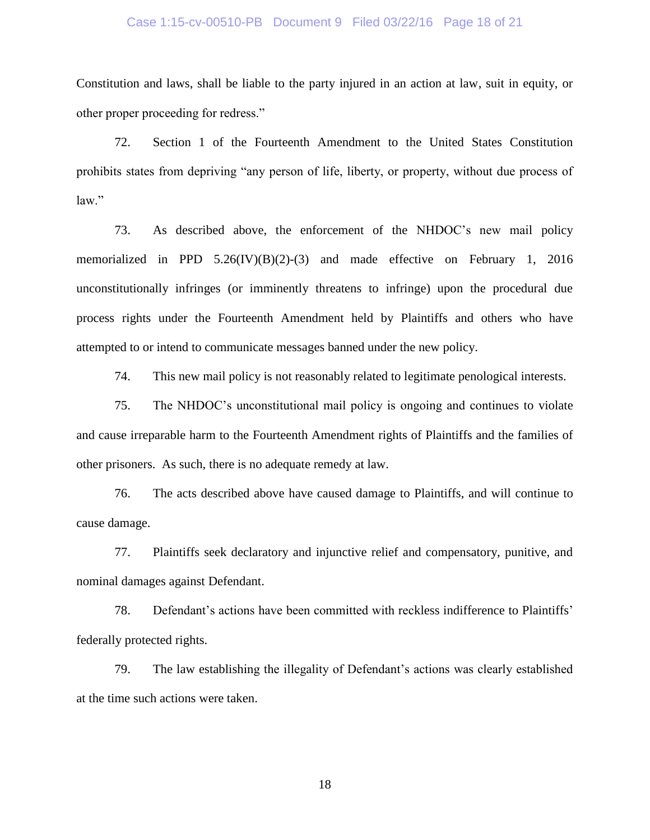#### Case 1:15-cv-00510-PB Document 9 Filed 03/22/16 Page 18 of 21

Constitution and laws, shall be liable to the party injured in an action at law, suit in equity, or other proper proceeding for redress."

72. Section 1 of the Fourteenth Amendment to the United States Constitution prohibits states from depriving "any person of life, liberty, or property, without due process of law."

73. As described above, the enforcement of the NHDOC's new mail policy memorialized in PPD 5.26(IV)(B)(2)-(3) and made effective on February 1, 2016 unconstitutionally infringes (or imminently threatens to infringe) upon the procedural due process rights under the Fourteenth Amendment held by Plaintiffs and others who have attempted to or intend to communicate messages banned under the new policy.

74. This new mail policy is not reasonably related to legitimate penological interests.

75. The NHDOC's unconstitutional mail policy is ongoing and continues to violate and cause irreparable harm to the Fourteenth Amendment rights of Plaintiffs and the families of other prisoners. As such, there is no adequate remedy at law.

76. The acts described above have caused damage to Plaintiffs, and will continue to cause damage.

77. Plaintiffs seek declaratory and injunctive relief and compensatory, punitive, and nominal damages against Defendant.

78. Defendant's actions have been committed with reckless indifference to Plaintiffs' federally protected rights.

79. The law establishing the illegality of Defendant's actions was clearly established at the time such actions were taken.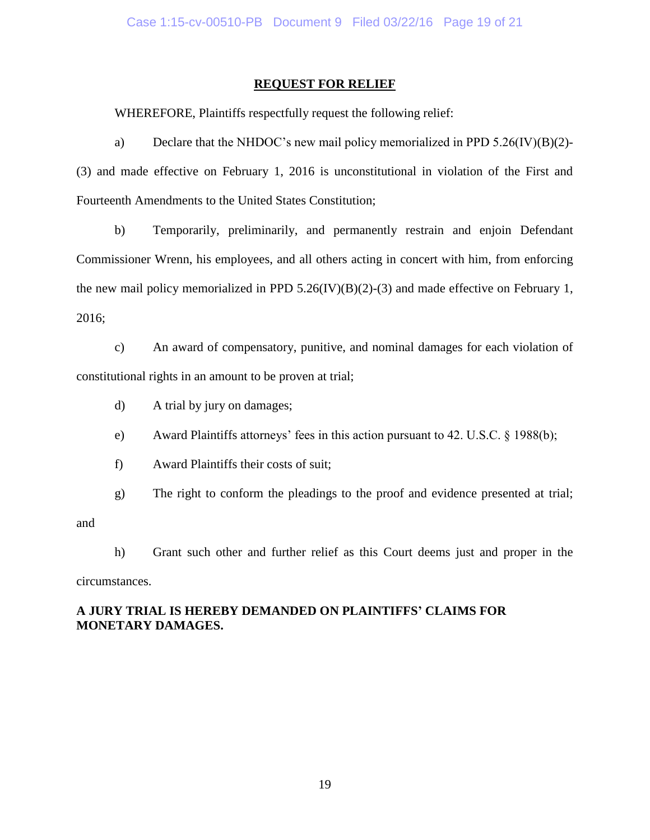### **REQUEST FOR RELIEF**

WHEREFORE, Plaintiffs respectfully request the following relief:

a) Declare that the NHDOC's new mail policy memorialized in PPD 5.26(IV)(B)(2)- (3) and made effective on February 1, 2016 is unconstitutional in violation of the First and Fourteenth Amendments to the United States Constitution;

b) Temporarily, preliminarily, and permanently restrain and enjoin Defendant Commissioner Wrenn, his employees, and all others acting in concert with him, from enforcing the new mail policy memorialized in PPD  $5.26$ (IV)(B)(2)-(3) and made effective on February 1, 2016;

c) An award of compensatory, punitive, and nominal damages for each violation of constitutional rights in an amount to be proven at trial;

- d) A trial by jury on damages;
- e) Award Plaintiffs attorneys' fees in this action pursuant to 42. U.S.C. § 1988(b);
- f) Award Plaintiffs their costs of suit;

g) The right to conform the pleadings to the proof and evidence presented at trial;

and

h) Grant such other and further relief as this Court deems just and proper in the

circumstances.

# **A JURY TRIAL IS HEREBY DEMANDED ON PLAINTIFFS' CLAIMS FOR MONETARY DAMAGES.**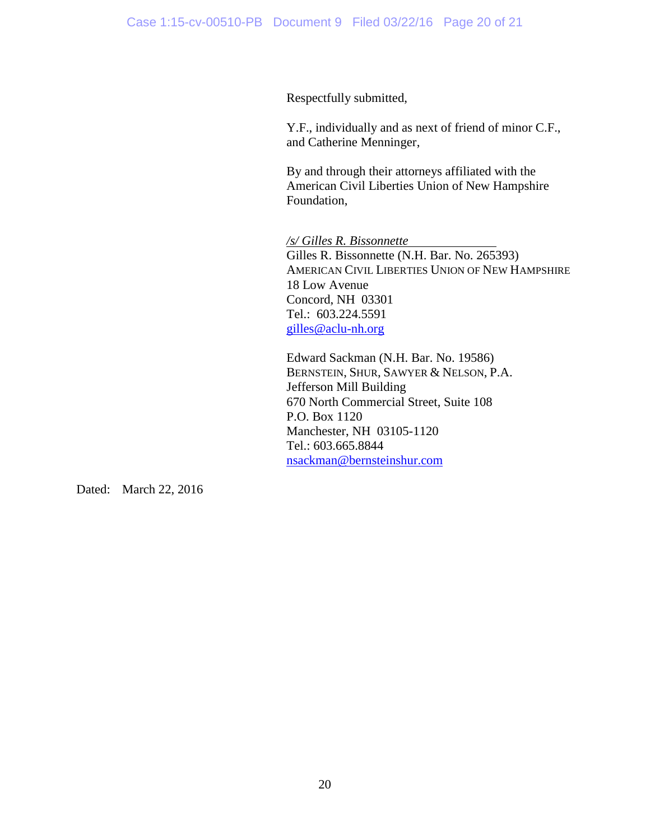Respectfully submitted,

Y.F., individually and as next of friend of minor C.F., and Catherine Menninger,

By and through their attorneys affiliated with the American Civil Liberties Union of New Hampshire Foundation,

*/s/ Gilles R. Bissonnette* Gilles R. Bissonnette (N.H. Bar. No. 265393) AMERICAN CIVIL LIBERTIES UNION OF NEW HAMPSHIRE 18 Low Avenue Concord, NH 03301 Tel.: 603.224.5591 [gilles@aclu-nh.org](mailto:gilles@aclu-nh.org)

Edward Sackman (N.H. Bar. No. 19586) BERNSTEIN, SHUR, SAWYER & NELSON, P.A. Jefferson Mill Building 670 North Commercial Street, Suite 108 P.O. Box 1120 Manchester, NH 03105-1120 Tel.: 603.665.8844 [nsackman@bernsteinshur.com](mailto:nsackman@bernsteinshur.com)

Dated: March 22, 2016